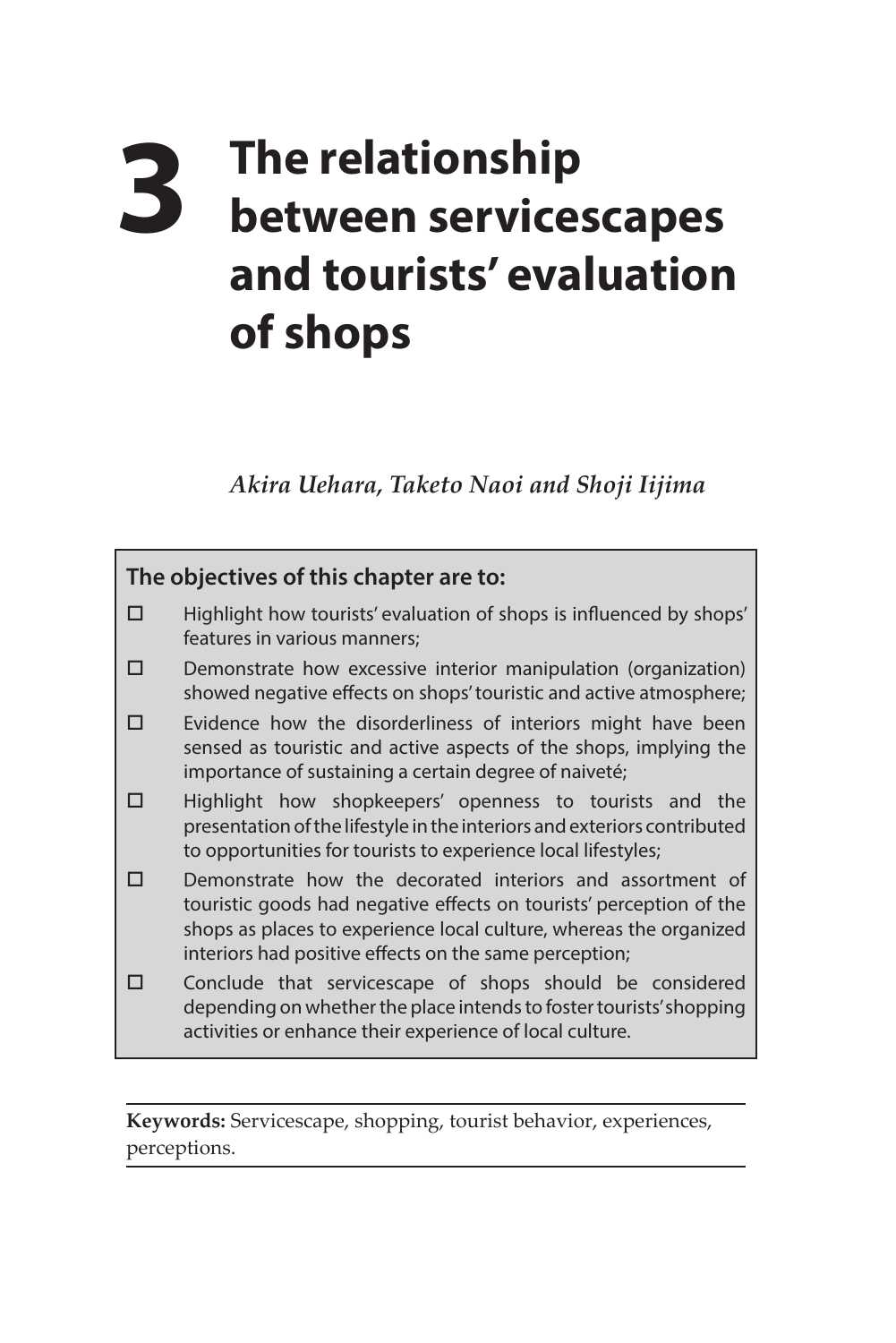## **3 The relationship between servicescapes and tourists' evaluation of shops**

*Akira Uehara, Taketo Naoi and Shoji Iijima* 



**Keywords:** Servicescape, shopping, tourist behavior, experiences, perceptions.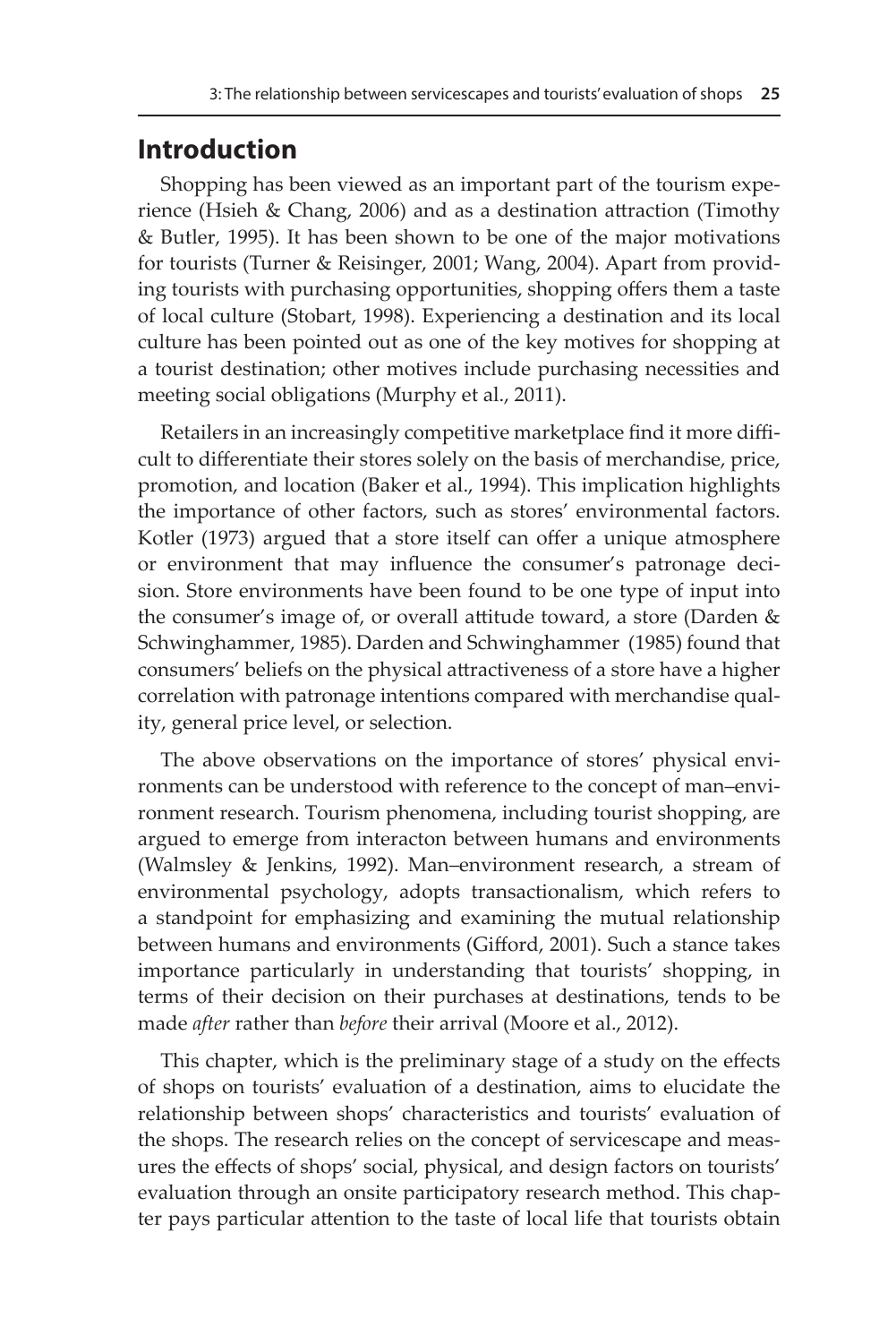## **Introduction**

Shopping has been viewed as an important part of the tourism experience (Hsieh & Chang, 2006) and as a destination attraction (Timothy & Butler, 1995). It has been shown to be one of the major motivations for tourists (Turner & Reisinger, 2001; Wang, 2004). Apart from providing tourists with purchasing opportunities, shopping offers them a taste of local culture (Stobart, 1998). Experiencing a destination and its local culture has been pointed out as one of the key motives for shopping at a tourist destination; other motives include purchasing necessities and meeting social obligations (Murphy et al., 2011).

Retailers in an increasingly competitive marketplace find it more difficult to differentiate their stores solely on the basis of merchandise, price, promotion, and location (Baker et al., 1994). This implication highlights the importance of other factors, such as stores' environmental factors. Kotler (1973) argued that a store itself can offer a unique atmosphere or environment that may influence the consumer's patronage decision. Store environments have been found to be one type of input into the consumer's image of, or overall attitude toward, a store (Darden & Schwinghammer, 1985). Darden and Schwinghammer (1985) found that consumers' beliefs on the physical attractiveness of a store have a higher correlation with patronage intentions compared with merchandise quality, general price level, or selection.

The above observations on the importance of stores' physical environments can be understood with reference to the concept of man–environment research. Tourism phenomena, including tourist shopping, are argued to emerge from interacton between humans and environments (Walmsley & Jenkins, 1992). Man–environment research, a stream of environmental psychology, adopts transactionalism, which refers to a standpoint for emphasizing and examining the mutual relationship between humans and environments (Gifford, 2001). Such a stance takes importance particularly in understanding that tourists' shopping, in terms of their decision on their purchases at destinations, tends to be made *after* rather than *before* their arrival (Moore et al., 2012).

This chapter, which is the preliminary stage of a study on the effects of shops on tourists' evaluation of a destination, aims to elucidate the relationship between shops' characteristics and tourists' evaluation of the shops. The research relies on the concept of servicescape and measures the effects of shops' social, physical, and design factors on tourists' evaluation through an onsite participatory research method. This chapter pays particular attention to the taste of local life that tourists obtain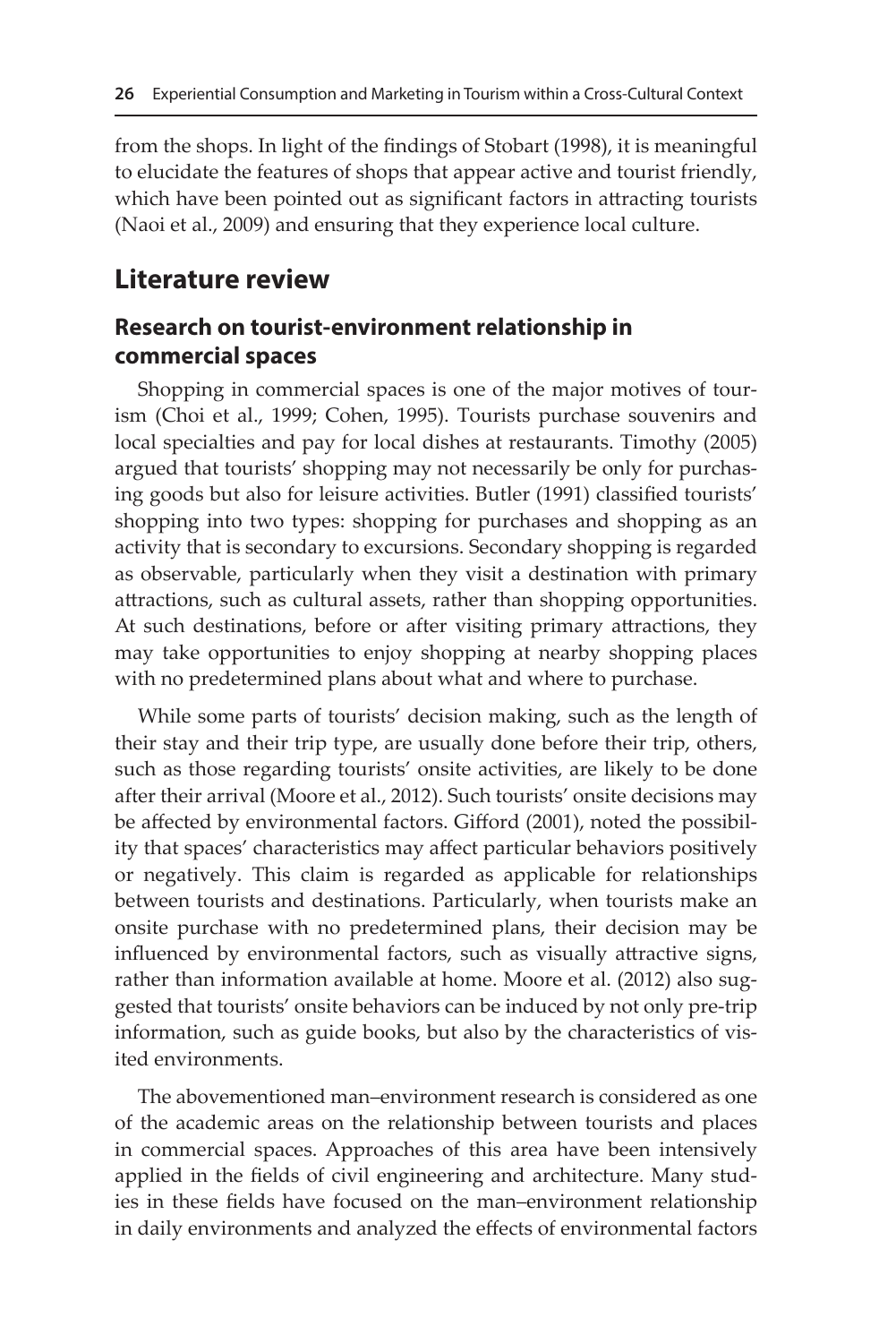from the shops. In light of the findings of Stobart (1998), it is meaningful to elucidate the features of shops that appear active and tourist friendly, which have been pointed out as significant factors in attracting tourists (Naoi et al., 2009) and ensuring that they experience local culture.

## **Literature review**

## **Research on tourist-environment relationship in commercial spaces**

Shopping in commercial spaces is one of the major motives of tourism (Choi et al., 1999; Cohen, 1995). Tourists purchase souvenirs and local specialties and pay for local dishes at restaurants. Timothy (2005) argued that tourists' shopping may not necessarily be only for purchasing goods but also for leisure activities. Butler (1991) classified tourists' shopping into two types: shopping for purchases and shopping as an activity that is secondary to excursions. Secondary shopping is regarded as observable, particularly when they visit a destination with primary attractions, such as cultural assets, rather than shopping opportunities. At such destinations, before or after visiting primary attractions, they may take opportunities to enjoy shopping at nearby shopping places with no predetermined plans about what and where to purchase.

While some parts of tourists' decision making, such as the length of their stay and their trip type, are usually done before their trip, others, such as those regarding tourists' onsite activities, are likely to be done after their arrival (Moore et al., 2012). Such tourists' onsite decisions may be affected by environmental factors. Gifford (2001), noted the possibility that spaces' characteristics may affect particular behaviors positively or negatively. This claim is regarded as applicable for relationships between tourists and destinations. Particularly, when tourists make an onsite purchase with no predetermined plans, their decision may be influenced by environmental factors, such as visually attractive signs, rather than information available at home. Moore et al. (2012) also suggested that tourists' onsite behaviors can be induced by not only pre-trip information, such as guide books, but also by the characteristics of visited environments.

The abovementioned man–environment research is considered as one of the academic areas on the relationship between tourists and places in commercial spaces. Approaches of this area have been intensively applied in the fields of civil engineering and architecture. Many studies in these fields have focused on the man–environment relationship in daily environments and analyzed the effects of environmental factors